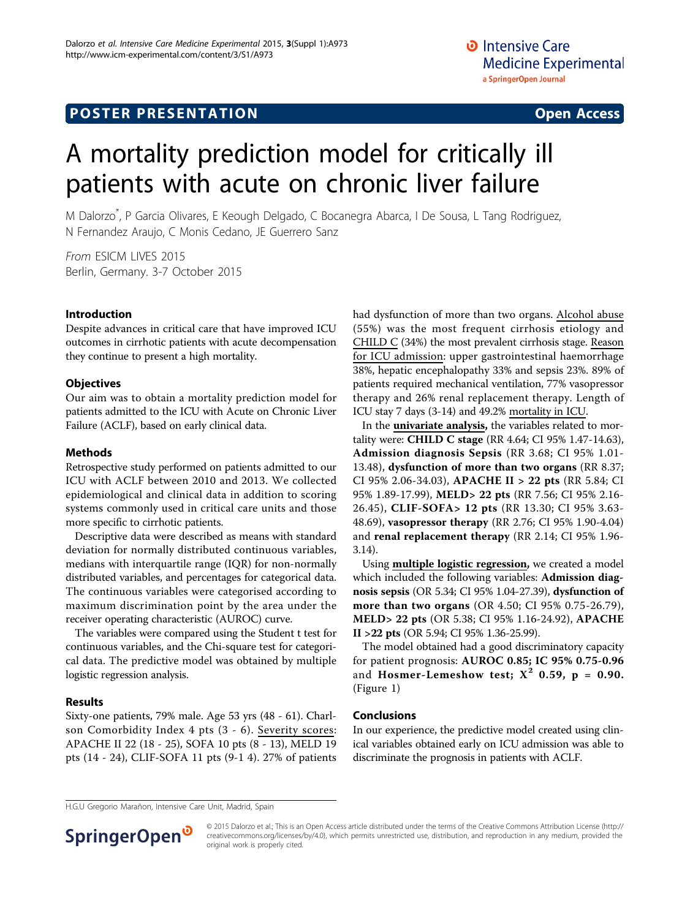# A mortality prediction model for critically ill patients with acute on chronic liver failure

M Dalorzo\* , P Garcia Olivares, E Keough Delgado, C Bocanegra Abarca, I De Sousa, L Tang Rodriguez, N Fernandez Araujo, C Monis Cedano, JE Guerrero Sanz

From ESICM LIVES 2015 Berlin, Germany. 3-7 October 2015

### Introduction

Despite advances in critical care that have improved ICU outcomes in cirrhotic patients with acute decompensation they continue to present a high mortality.

### **Objectives**

Our aim was to obtain a mortality prediction model for patients admitted to the ICU with Acute on Chronic Liver Failure (ACLF), based on early clinical data.

#### Methods

Retrospective study performed on patients admitted to our ICU with ACLF between 2010 and 2013. We collected epidemiological and clinical data in addition to scoring systems commonly used in critical care units and those more specific to cirrhotic patients.

Descriptive data were described as means with standard deviation for normally distributed continuous variables, medians with interquartile range (IQR) for non-normally distributed variables, and percentages for categorical data. The continuous variables were categorised according to maximum discrimination point by the area under the receiver operating characteristic (AUROC) curve.

The variables were compared using the Student t test for continuous variables, and the Chi-square test for categorical data. The predictive model was obtained by multiple logistic regression analysis.

#### Results

Sixty-one patients, 79% male. Age 53 yrs (48 - 61). Charlson Comorbidity Index 4 pts (3 - 6). Severity scores: APACHE II 22 (18 - 25), SOFA 10 pts (8 - 13), MELD 19 pts (14 - 24), CLIF-SOFA 11 pts (9-1 4). 27% of patients had dysfunction of more than two organs. Alcohol abuse (55%) was the most frequent cirrhosis etiology and CHILD C (34%) the most prevalent cirrhosis stage. Reason for ICU admission: upper gastrointestinal haemorrhage 38%, hepatic encephalopathy 33% and sepsis 23%. 89% of patients required mechanical ventilation, 77% vasopressor therapy and 26% renal replacement therapy. Length of ICU stay 7 days (3-14) and 49.2% mortality in ICU.

In the univariate analysis, the variables related to mortality were: CHILD C stage (RR 4.64; CI 95% 1.47-14.63), Admission diagnosis Sepsis (RR 3.68; CI 95% 1.01- 13.48), dysfunction of more than two organs (RR 8.37; CI 95% 2.06-34.03), APACHE II > 22 pts (RR 5.84; CI 95% 1.89-17.99), MELD> 22 pts (RR 7.56; CI 95% 2.16- 26.45), CLIF-SOFA> 12 pts (RR 13.30; CI 95% 3.63- 48.69), vasopressor therapy (RR 2.76; CI 95% 1.90-4.04) and renal replacement therapy (RR 2.14; CI 95% 1.96- 3.14).

Using multiple logistic regression, we created a model which included the following variables: Admission diagnosis sepsis (OR 5.34; CI 95% 1.04-27.39), dysfunction of more than two organs (OR 4.50; CI 95% 0.75-26.79), MELD> 22 pts (OR 5.38; CI 95% 1.16-24.92), APACHE II >22 pts (OR 5.94; CI 95% 1.36-25.99).

The model obtained had a good discriminatory capacity for patient prognosis: AUROC 0.85; IC 95% 0.75-0.96 and Hosmer-Lemeshow test;  $X^2$  0.59,  $p = 0.90$ . (Figure [1\)](#page-1-0)

#### Conclusions

In our experience, the predictive model created using clinical variables obtained early on ICU admission was able to discriminate the prognosis in patients with ACLF.

H.G.U Gregorio Marañon, Intensive Care Unit, Madrid, Spain



© 2015 Dalorzo et al.; This is an Open Access article distributed under the terms of the Creative Commons Attribution License [\(http://](http://creativecommons.org/licenses/by/4.0) [creativecommons.org/licenses/by/4.0](http://creativecommons.org/licenses/by/4.0)), which permits unrestricted use, distribution, and reproduction in any medium, provided the original work is properly cited.